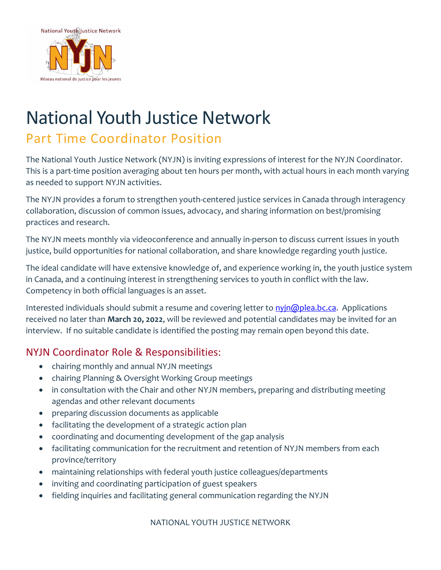

## National Youth Justice Network

## Part Time Coordinator Position

The National Youth Justice Network (NYJN) is inviting expressions of interest for the NYJN Coordinator. This is a part-time position averaging about ten hours per month, with actual hours in each month varying as needed to support NYJN activities.

The NYJN provides a forum to strengthen youth-centered justice services in Canada through interagency collaboration, discussion of common issues, advocacy, and sharing information on best/promising practices and research.

The NYJN meets monthly via videoconference and annually in-person to discuss current issues in youth justice, build opportunities for national collaboration, and share knowledge regarding youth justice.

The ideal candidate will have extensive knowledge of, and experience working in, the youth justice system in Canada, and a continuing interest in strengthening services to youth in conflict with the law. Competency in both official languages is an asset.

Interested individuals should submit a resume and covering letter to [nyjn@plea.bc.ca.](mailto:nyjn@plea.bc.ca) Applications received no later than **March 20, 2022**, will be reviewed and potential candidates may be invited for an interview. If no suitable candidate is identified the posting may remain open beyond this date.

## NYJN Coordinator Role & Responsibilities:

- chairing monthly and annual NYJN meetings
- chairing Planning & Oversight Working Group meetings
- in consultation with the Chair and other NYJN members, preparing and distributing meeting agendas and other relevant documents
- preparing discussion documents as applicable
- facilitating the development of a strategic action plan
- coordinating and documenting development of the gap analysis
- facilitating communication for the recruitment and retention of NYJN members from each province/territory
- maintaining relationships with federal youth justice colleagues/departments
- inviting and coordinating participation of guest speakers
- fielding inquiries and facilitating general communication regarding the NYJN